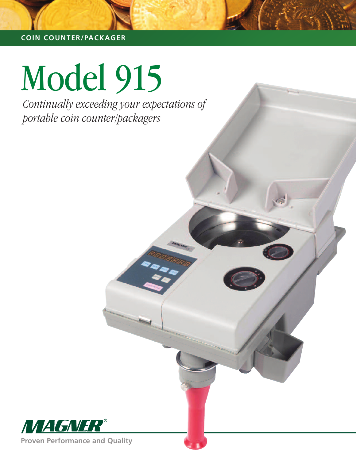#### **COIN COUNTER/PACKAGER**

# Model 915

*Continually exceeding your expectations of portable coin counter/packagers*



**Proven Performance and Quality**